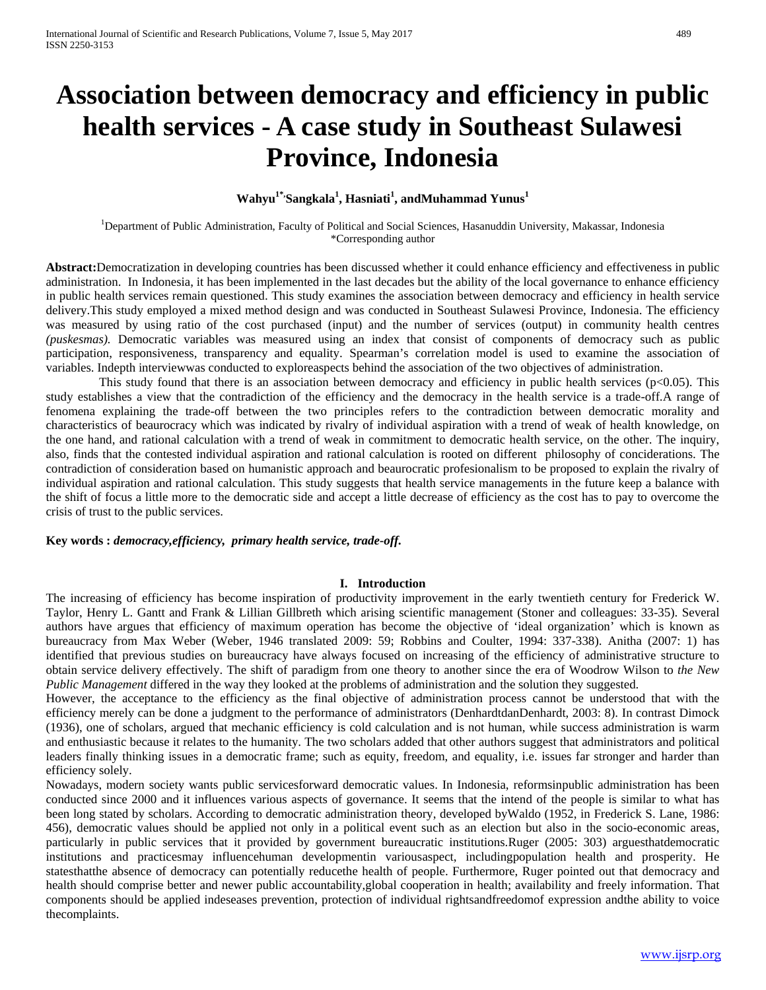# **Association between democracy and efficiency in public health services - A case study in Southeast Sulawesi Province, Indonesia**

## $\textbf{W}$ ahyu<sup>1\*,</sup>Sangkala<sup>1</sup>, Hasniati<sup>1</sup>, andMuhammad Yunus<sup>1</sup>

<sup>1</sup>Department of Public Administration, Faculty of Political and Social Sciences, Hasanuddin University, Makassar, Indonesia \*Corresponding author

**Abstract:**Democratization in developing countries has been discussed whether it could enhance efficiency and effectiveness in public administration. In Indonesia, it has been implemented in the last decades but the ability of the local governance to enhance efficiency in public health services remain questioned. This study examines the association between democracy and efficiency in health service delivery.This study employed a mixed method design and was conducted in Southeast Sulawesi Province, Indonesia. The efficiency was measured by using ratio of the cost purchased (input) and the number of services (output) in community health centres *(puskesmas).* Democratic variables was measured using an index that consist of components of democracy such as public participation, responsiveness, transparency and equality. Spearman's correlation model is used to examine the association of variables. Indepth interviewwas conducted to exploreaspects behind the association of the two objectives of administration.

This study found that there is an association between democracy and efficiency in public health services ( $p<0.05$ ). This study establishes a view that the contradiction of the efficiency and the democracy in the health service is a trade-off.A range of fenomena explaining the trade-off between the two principles refers to the contradiction between democratic morality and characteristics of beaurocracy which was indicated by rivalry of individual aspiration with a trend of weak of health knowledge, on the one hand, and rational calculation with a trend of weak in commitment to democratic health service, on the other. The inquiry, also, finds that the contested individual aspiration and rational calculation is rooted on different philosophy of conciderations. The contradiction of consideration based on humanistic approach and beaurocratic profesionalism to be proposed to explain the rivalry of individual aspiration and rational calculation. This study suggests that health service managements in the future keep a balance with the shift of focus a little more to the democratic side and accept a little decrease of efficiency as the cost has to pay to overcome the crisis of trust to the public services.

**Key words :** *democracy,efficiency, primary health service, trade-off.*

#### **I. Introduction**

The increasing of efficiency has become inspiration of productivity improvement in the early twentieth century for Frederick W. Taylor, Henry L. Gantt and Frank & Lillian Gillbreth which arising scientific management (Stoner and colleagues: 33-35). Several authors have argues that efficiency of maximum operation has become the objective of 'ideal organization' which is known as bureaucracy from Max Weber (Weber, 1946 translated 2009: 59; Robbins and Coulter, 1994: 337-338). Anitha (2007: 1) has identified that previous studies on bureaucracy have always focused on increasing of the efficiency of administrative structure to obtain service delivery effectively. The shift of paradigm from one theory to another since the era of Woodrow Wilson to *the New Public Management* differed in the way they looked at the problems of administration and the solution they suggested.

However, the acceptance to the efficiency as the final objective of administration process cannot be understood that with the efficiency merely can be done a judgment to the performance of administrators (DenhardtdanDenhardt, 2003: 8). In contrast Dimock (1936), one of scholars, argued that mechanic efficiency is cold calculation and is not human, while success administration is warm and enthusiastic because it relates to the humanity. The two scholars added that other authors suggest that administrators and political leaders finally thinking issues in a democratic frame; such as equity, freedom, and equality, i.e. issues far stronger and harder than efficiency solely.

Nowadays, modern society wants public servicesforward democratic values. In Indonesia, reformsinpublic administration has been conducted since 2000 and it influences various aspects of governance. It seems that the intend of the people is similar to what has been long stated by scholars. According to democratic administration theory, developed byWaldo (1952, in Frederick S. Lane, 1986: 456), democratic values should be applied not only in a political event such as an election but also in the socio-economic areas, particularly in public services that it provided by government bureaucratic institutions.Ruger (2005: 303) arguesthatdemocratic institutions and practicesmay influencehuman developmentin variousaspect, includingpopulation health and prosperity. He statesthatthe absence of democracy can potentially reducethe health of people. Furthermore, Ruger pointed out that democracy and health should comprise better and newer public accountability,global cooperation in health; availability and freely information. That components should be applied indeseases prevention, protection of individual rightsandfreedomof expression andthe ability to voice thecomplaints.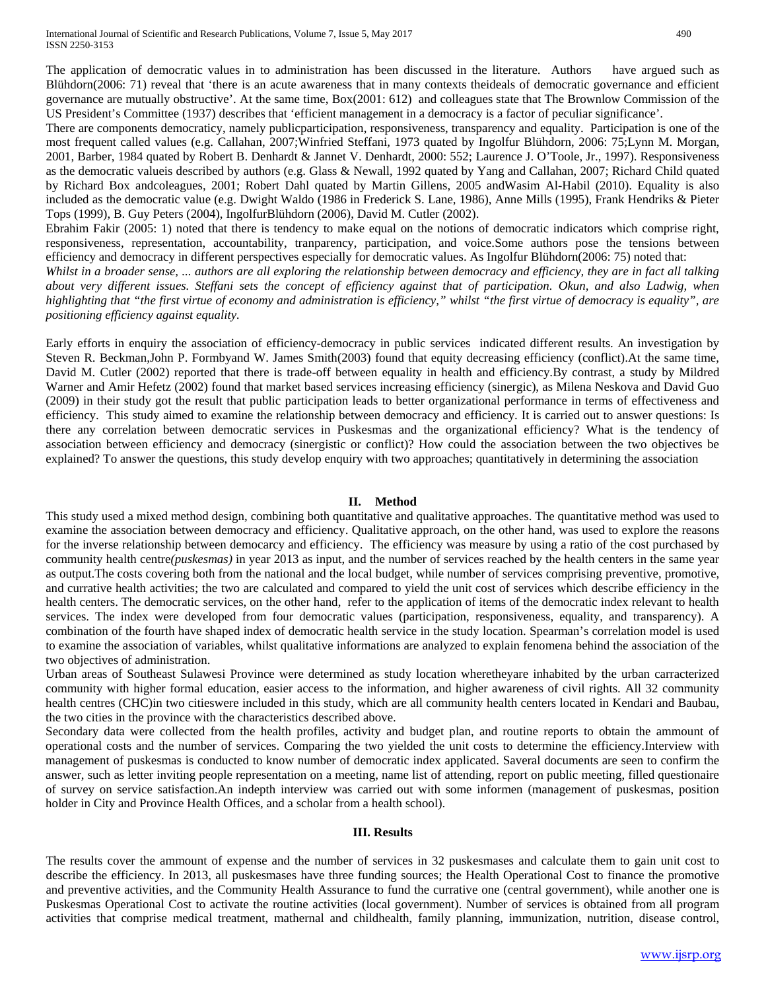The application of democratic values in to administration has been discussed in the literature. Authors have argued such as Blühdorn(2006: 71) reveal that 'there is an acute awareness that in many contexts theideals of democratic governance and efficient governance are mutually obstructive'. At the same time, Box(2001: 612) and colleagues state that The Brownlow Commission of the US President's Committee (1937) describes that 'efficient management in a democracy is a factor of peculiar significance'.

There are components democraticy, namely publicparticipation, responsiveness, transparency and equality. Participation is one of the most frequent called values (e.g. Callahan, 2007;Winfried Steffani, 1973 quated by Ingolfur Blühdorn, 2006: 75;Lynn M. Morgan, 2001, Barber, 1984 quated by Robert B. Denhardt & Jannet V. Denhardt, 2000: 552; Laurence J. O'Toole, Jr., 1997). Responsiveness as the democratic valueis described by authors (e.g. Glass & Newall, 1992 quated by Yang and Callahan, 2007; Richard Child quated by Richard Box andcoleagues, 2001; Robert Dahl quated by Martin Gillens, 2005 andWasim Al-Habil (2010). Equality is also included as the democratic value (e.g. Dwight Waldo (1986 in Frederick S. Lane, 1986), Anne Mills (1995), Frank Hendriks & Pieter Tops (1999), B. Guy Peters (2004), IngolfurBlühdorn (2006), David M. Cutler (2002).

Ebrahim Fakir (2005: 1) noted that there is tendency to make equal on the notions of democratic indicators which comprise right, responsiveness, representation, accountability, tranparency, participation, and voice.Some authors pose the tensions between efficiency and democracy in different perspectives especially for democratic values. As Ingolfur Blühdorn(2006: 75) noted that:

*Whilst in a broader sense, ... authors are all exploring the relationship between democracy and efficiency, they are in fact all talking*  about very different issues. Steffani sets the concept of efficiency against that of participation. Okun, and also Ladwig, when *highlighting that "the first virtue of economy and administration is efficiency," whilst "the first virtue of democracy is equality", are positioning efficiency against equality.*

Early efforts in enquiry the association of efficiency-democracy in public services indicated different results. An investigation by Steven R. Beckman,John P. Formbyand W. James Smith(2003) found that equity decreasing efficiency (conflict).At the same time, David M. Cutler (2002) reported that there is trade-off between equality in health and efficiency.By contrast, a study by Mildred Warner and Amir Hefetz (2002) found that market based services increasing efficiency (sinergic), as Milena Neskova and David Guo (2009) in their study got the result that public participation leads to better organizational performance in terms of effectiveness and efficiency. This study aimed to examine the relationship between democracy and efficiency. It is carried out to answer questions: Is there any correlation between democratic services in Puskesmas and the organizational efficiency? What is the tendency of association between efficiency and democracy (sinergistic or conflict)? How could the association between the two objectives be explained? To answer the questions, this study develop enquiry with two approaches; quantitatively in determining the association

### **II. Method**

This study used a mixed method design, combining both quantitative and qualitative approaches. The quantitative method was used to examine the association between democracy and efficiency. Qualitative approach, on the other hand, was used to explore the reasons for the inverse relationship between democarcy and efficiency. The efficiency was measure by using a ratio of the cost purchased by community health centre*(puskesmas)* in year 2013 as input, and the number of services reached by the health centers in the same year as output.The costs covering both from the national and the local budget, while number of services comprising preventive, promotive, and currative health activities; the two are calculated and compared to yield the unit cost of services which describe efficiency in the health centers. The democratic services, on the other hand, refer to the application of items of the democratic index relevant to health services. The index were developed from four democratic values (participation, responsiveness, equality, and transparency). A combination of the fourth have shaped index of democratic health service in the study location. Spearman's correlation model is used to examine the association of variables, whilst qualitative informations are analyzed to explain fenomena behind the association of the two objectives of administration.

Urban areas of Southeast Sulawesi Province were determined as study location wheretheyare inhabited by the urban carracterized community with higher formal education, easier access to the information, and higher awareness of civil rights. All 32 community health centres (CHC)in two citieswere included in this study, which are all community health centers located in Kendari and Baubau, the two cities in the province with the characteristics described above.

Secondary data were collected from the health profiles, activity and budget plan, and routine reports to obtain the ammount of operational costs and the number of services. Comparing the two yielded the unit costs to determine the efficiency.Interview with management of puskesmas is conducted to know number of democratic index applicated. Saveral documents are seen to confirm the answer, such as letter inviting people representation on a meeting, name list of attending, report on public meeting, filled questionaire of survey on service satisfaction.An indepth interview was carried out with some informen (management of puskesmas, position holder in City and Province Health Offices, and a scholar from a health school).

## **III. Results**

The results cover the ammount of expense and the number of services in 32 puskesmases and calculate them to gain unit cost to describe the efficiency. In 2013, all puskesmases have three funding sources; the Health Operational Cost to finance the promotive and preventive activities, and the Community Health Assurance to fund the currative one (central government), while another one is Puskesmas Operational Cost to activate the routine activities (local government). Number of services is obtained from all program activities that comprise medical treatment, mathernal and childhealth, family planning, immunization, nutrition, disease control,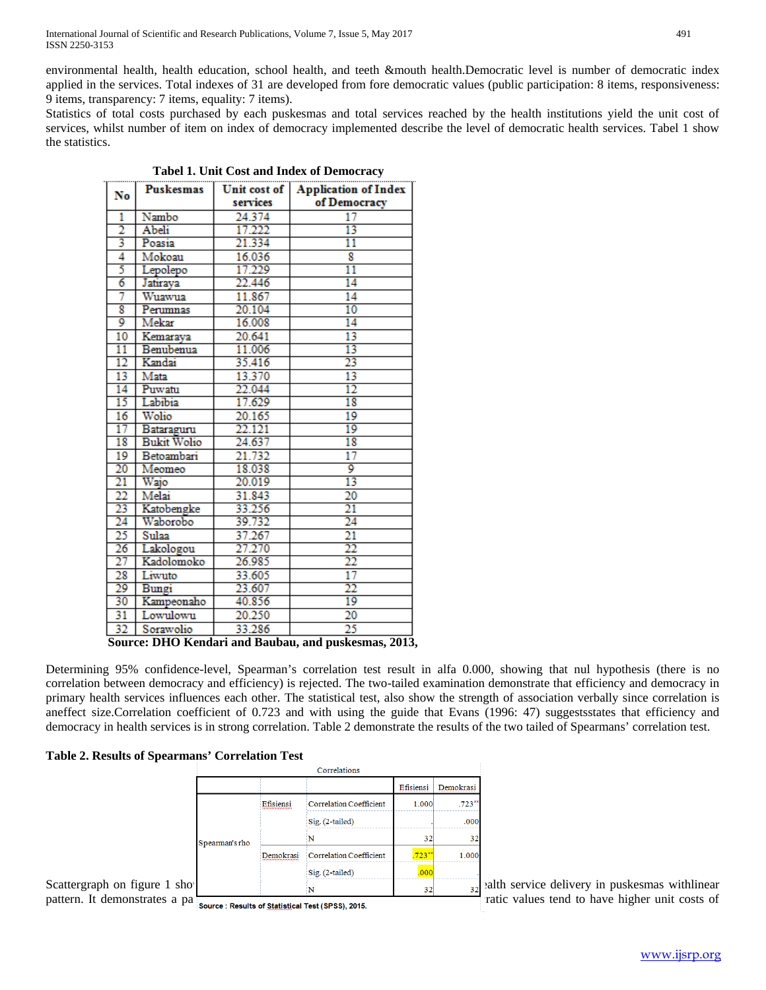environmental health, health education, school health, and teeth &mouth health.Democratic level is number of democratic index applied in the services. Total indexes of 31 are developed from fore democratic values (public participation: 8 items, responsiveness: 9 items, transparency: 7 items, equality: 7 items).

Statistics of total costs purchased by each puskesmas and total services reached by the health institutions yield the unit cost of services, whilst number of item on index of democracy implemented describe the level of democratic health services. Tabel 1 show the statistics.

| No                                                  | Puskesmas          | Unit cost of | <b>Application of Index</b> |  |  |  |  |
|-----------------------------------------------------|--------------------|--------------|-----------------------------|--|--|--|--|
|                                                     |                    | services     | of Democracy                |  |  |  |  |
| 1                                                   | Nambo              | 24.374       | 17                          |  |  |  |  |
| 2                                                   | Abeli              | 17.222       | 13                          |  |  |  |  |
| 3                                                   | Poasia             | 21.334       | $\overline{11}$             |  |  |  |  |
| 4                                                   | Mokoau             | 16.036       | 8                           |  |  |  |  |
| 5                                                   | Lepolepo           | 17.229       | $\overline{11}$             |  |  |  |  |
| 6                                                   | Jatiraya           | 22.446       | 14                          |  |  |  |  |
| 7                                                   | Wuawua             | 11.867       | 14                          |  |  |  |  |
| 8                                                   | Perumnas           | 20.104       | 10                          |  |  |  |  |
| 9                                                   | Mekar              | 16.008       | 14                          |  |  |  |  |
| $\overline{10}$                                     | Kemaraya           | 20.641       | 13                          |  |  |  |  |
| $\overline{11}$                                     | Benubenua          | 11.006       | 13                          |  |  |  |  |
| $\overline{12}$                                     | Kandai             | 35.416       | 23                          |  |  |  |  |
| 13                                                  | Mata               | 13.370       | 13                          |  |  |  |  |
| 14                                                  | Puwatu             | 22.044       | $\overline{12}$             |  |  |  |  |
| 15                                                  | Labibia            | 17.629       | 18                          |  |  |  |  |
| 16                                                  | Wolio              | 20.165       | 19                          |  |  |  |  |
| 17                                                  | Bataraguru         | 22.121       | 19                          |  |  |  |  |
| 18                                                  | <b>Bukit Wolio</b> | 24.637       | 18                          |  |  |  |  |
| 19                                                  | Betoambari         | 21.732       | $\overline{17}$             |  |  |  |  |
| 20                                                  | Meomeo             | 18.038       | 9                           |  |  |  |  |
| 21                                                  | Wajo               | 20.019       | 13                          |  |  |  |  |
| 22                                                  | Melai              | 31.843       | 20                          |  |  |  |  |
| 23                                                  | Katobengke         | 33.256       | 21                          |  |  |  |  |
| 24                                                  | Waborobo           | 39.732       | 24                          |  |  |  |  |
| $\overline{25}$                                     | Sulaa              | 37.267       | 21                          |  |  |  |  |
| 26                                                  | Lakologou          | 27.270       | 22                          |  |  |  |  |
| 27                                                  | Kadolomoko         | 26.985       | 22                          |  |  |  |  |
| 28                                                  | Liwuto             | 33.605       | $\overline{17}$             |  |  |  |  |
| 29                                                  | Bungi              | 23.607       | 22                          |  |  |  |  |
| 30                                                  | Kampeonaho         | 40.856       | 19                          |  |  |  |  |
| 31                                                  | Lowulowu           | 20.250       | $\overline{20}$             |  |  |  |  |
| 32                                                  | Sorawolio          | 33.286       | $\overline{25}$             |  |  |  |  |
| Source: DHO Kendari and Baubau, and puskesmas, 2013 |                    |              |                             |  |  |  |  |

**Tabel 1. Unit Cost and Index of Democracy**

Determining 95% confidence-level, Spearman's correlation test result in alfa 0.000, showing that nul hypothesis (there is no correlation between democracy and efficiency) is rejected. The two-tailed examination demonstrate that efficiency and democracy in primary health services influences each other. The statistical test, also show the strength of association verbally since correlation is aneffect size.Correlation coefficient of 0.723 and with using the guide that Evans (1996: 47) suggestsstates that efficiency and democracy in health services is in strong correlation. Table 2 demonstrate the results of the two tailed of Spearmans' correlation test.

## **Table 2. Results of Spearmans' Correlation Test**

|                                                                                                                                                                                                                                                                     |                |           | Correlations                   |           |           |                                                                                                                                                                                                  |
|---------------------------------------------------------------------------------------------------------------------------------------------------------------------------------------------------------------------------------------------------------------------|----------------|-----------|--------------------------------|-----------|-----------|--------------------------------------------------------------------------------------------------------------------------------------------------------------------------------------------------|
|                                                                                                                                                                                                                                                                     |                |           |                                | Efisiensi | Demokrasi |                                                                                                                                                                                                  |
|                                                                                                                                                                                                                                                                     |                | Efisiensi | <b>Correlation Coefficient</b> | 1.000     | .723      |                                                                                                                                                                                                  |
|                                                                                                                                                                                                                                                                     |                |           | Sig. (2-tailed)                |           | .000      |                                                                                                                                                                                                  |
|                                                                                                                                                                                                                                                                     | Spearman's rho |           |                                | 32        | 32        |                                                                                                                                                                                                  |
|                                                                                                                                                                                                                                                                     |                | Demokrasi | <b>Correlation Coefficient</b> | $.723***$ | 1.000     |                                                                                                                                                                                                  |
|                                                                                                                                                                                                                                                                     |                |           | $Sig. (2-tailed)$              | .000      |           |                                                                                                                                                                                                  |
| Scattergraph on figure 1 sho  <br>$\mathbf{r}$ , and the contract of the contract of the contract of the contract of the contract of the contract of the contract of the contract of the contract of the contract of the contract of the contract of the contract o |                |           |                                | 32        |           | $_{32}$ alth service delivery in puskesmas with linear<br>$\mathcal{L}$ , and the set of $\mathcal{L}$ and $\mathcal{L}$ and $\mathcal{L}$ and $\mathcal{L}$ and $\mathcal{L}$ and $\mathcal{L}$ |

pattern. It demonstrates a pattern that purce Results of Statistical Test (SPSS), 2015.

**Source: DHO Kendari and Baubau, and puskesmas, 2013,**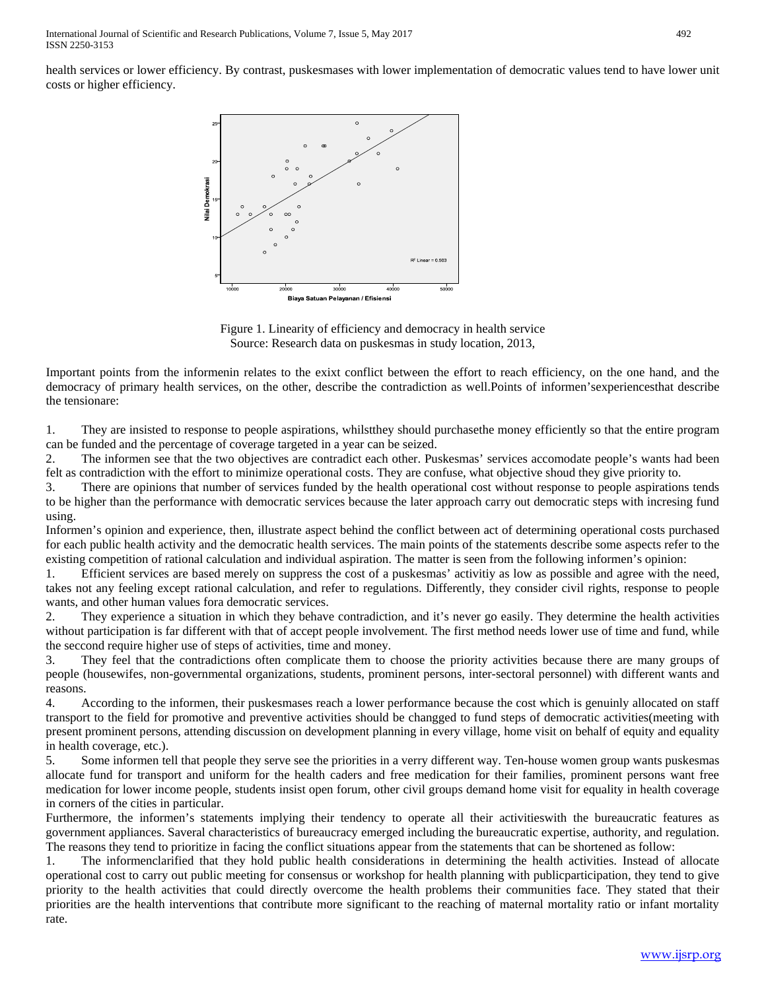International Journal of Scientific and Research Publications, Volume 7, Issue 5, May 2017 492 ISSN 2250-3153

health services or lower efficiency. By contrast, puskesmases with lower implementation of democratic values tend to have lower unit costs or higher efficiency.



Figure 1. Linearity of efficiency and democracy in health service Source: Research data on puskesmas in study location, 2013,

Important points from the informenin relates to the exixt conflict between the effort to reach efficiency, on the one hand, and the democracy of primary health services, on the other, describe the contradiction as well.Points of informen'sexperiencesthat describe the tensionare:

1. They are insisted to response to people aspirations, whilstthey should purchasethe money efficiently so that the entire program can be funded and the percentage of coverage targeted in a year can be seized.

2. The informen see that the two objectives are contradict each other. Puskesmas' services accomodate people's wants had been felt as contradiction with the effort to minimize operational costs. They are confuse, what objective shoud they give priority to.

3. There are opinions that number of services funded by the health operational cost without response to people aspirations tends to be higher than the performance with democratic services because the later approach carry out democratic steps with incresing fund using.

Informen's opinion and experience, then, illustrate aspect behind the conflict between act of determining operational costs purchased for each public health activity and the democratic health services. The main points of the statements describe some aspects refer to the existing competition of rational calculation and individual aspiration. The matter is seen from the following informen's opinion:

1. Efficient services are based merely on suppress the cost of a puskesmas' activitiy as low as possible and agree with the need, takes not any feeling except rational calculation, and refer to regulations. Differently, they consider civil rights, response to people wants, and other human values fora democratic services.

2. They experience a situation in which they behave contradiction, and it's never go easily. They determine the health activities without participation is far different with that of accept people involvement. The first method needs lower use of time and fund, while the seccond require higher use of steps of activities, time and money.

3. They feel that the contradictions often complicate them to choose the priority activities because there are many groups of people (housewifes, non-governmental organizations, students, prominent persons, inter-sectoral personnel) with different wants and reasons.

4. According to the informen, their puskesmases reach a lower performance because the cost which is genuinly allocated on staff transport to the field for promotive and preventive activities should be changged to fund steps of democratic activities(meeting with present prominent persons, attending discussion on development planning in every village, home visit on behalf of equity and equality in health coverage, etc.).

5. Some informen tell that people they serve see the priorities in a verry different way. Ten-house women group wants puskesmas allocate fund for transport and uniform for the health caders and free medication for their families, prominent persons want free medication for lower income people, students insist open forum, other civil groups demand home visit for equality in health coverage in corners of the cities in particular.

Furthermore, the informen's statements implying their tendency to operate all their activitieswith the bureaucratic features as government appliances. Saveral characteristics of bureaucracy emerged including the bureaucratic expertise, authority, and regulation. The reasons they tend to prioritize in facing the conflict situations appear from the statements that can be shortened as follow:

The informenclarified that they hold public health considerations in determining the health activities. Instead of allocate operational cost to carry out public meeting for consensus or workshop for health planning with publicparticipation, they tend to give priority to the health activities that could directly overcome the health problems their communities face. They stated that their priorities are the health interventions that contribute more significant to the reaching of maternal mortality ratio or infant mortality rate.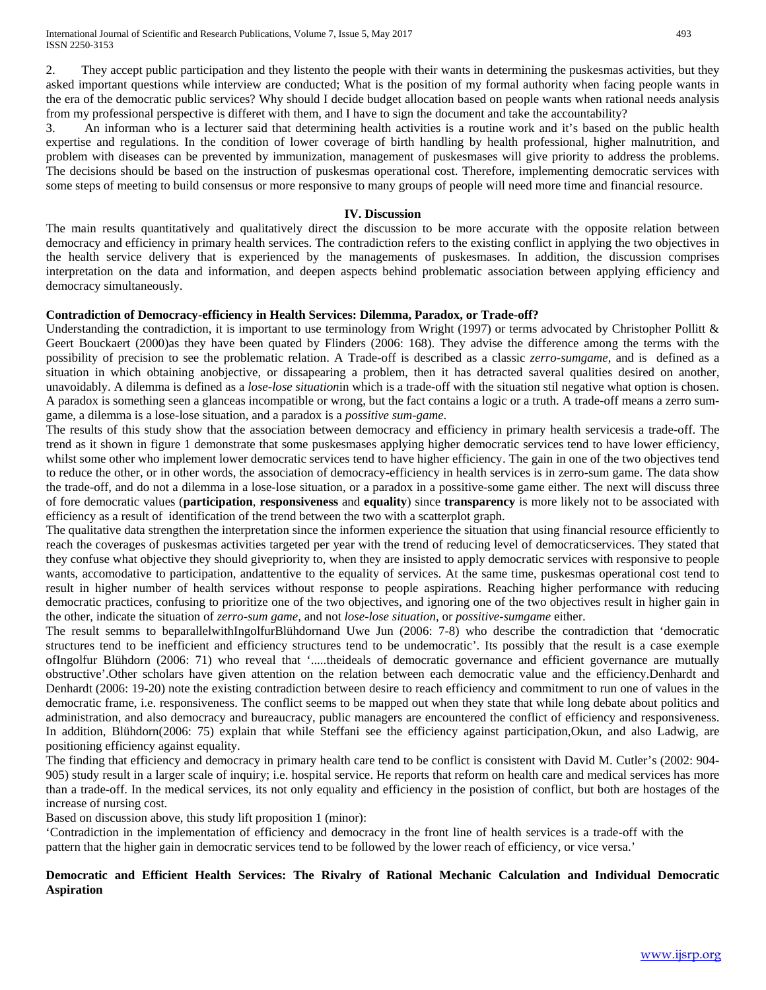International Journal of Scientific and Research Publications, Volume 7, Issue 5, May 2017 493 ISSN 2250-3153

2. They accept public participation and they listento the people with their wants in determining the puskesmas activities, but they asked important questions while interview are conducted; What is the position of my formal authority when facing people wants in the era of the democratic public services? Why should I decide budget allocation based on people wants when rational needs analysis from my professional perspective is differet with them, and I have to sign the document and take the accountability?

3. An informan who is a lecturer said that determining health activities is a routine work and it's based on the public health expertise and regulations. In the condition of lower coverage of birth handling by health professional, higher malnutrition, and problem with diseases can be prevented by immunization, management of puskesmases will give priority to address the problems. The decisions should be based on the instruction of puskesmas operational cost. Therefore, implementing democratic services with some steps of meeting to build consensus or more responsive to many groups of people will need more time and financial resource.

#### **IV. Discussion**

The main results quantitatively and qualitatively direct the discussion to be more accurate with the opposite relation between democracy and efficiency in primary health services. The contradiction refers to the existing conflict in applying the two objectives in the health service delivery that is experienced by the managements of puskesmases. In addition, the discussion comprises interpretation on the data and information, and deepen aspects behind problematic association between applying efficiency and democracy simultaneously.

#### **Contradiction of Democracy-efficiency in Health Services: Dilemma, Paradox, or Trade-off?**

Understanding the contradiction, it is important to use terminology from Wright (1997) or terms advocated by Christopher Pollitt  $\&$ Geert Bouckaert (2000)as they have been quated by Flinders (2006: 168). They advise the difference among the terms with the possibility of precision to see the problematic relation. A Trade-off is described as a classic *zerro-sumgame*, and is defined as a situation in which obtaining anobjective, or dissapearing a problem, then it has detracted saveral qualities desired on another, unavoidably. A dilemma is defined as a *lose-lose situation*in which is a trade-off with the situation stil negative what option is chosen. A paradox is something seen a glanceas incompatible or wrong, but the fact contains a logic or a truth. A trade-off means a zerro sumgame, a dilemma is a lose-lose situation, and a paradox is a *possitive sum-game*.

The results of this study show that the association between democracy and efficiency in primary health servicesis a trade-off. The trend as it shown in figure 1 demonstrate that some puskesmases applying higher democratic services tend to have lower efficiency, whilst some other who implement lower democratic services tend to have higher efficiency. The gain in one of the two objectives tend to reduce the other, or in other words, the association of democracy-efficiency in health services is in zerro-sum game. The data show the trade-off, and do not a dilemma in a lose-lose situation, or a paradox in a possitive-some game either. The next will discuss three of fore democratic values (**participation**, **responsiveness** and **equality**) since **transparency** is more likely not to be associated with efficiency as a result of identification of the trend between the two with a scatterplot graph.

The qualitative data strengthen the interpretation since the informen experience the situation that using financial resource efficiently to reach the coverages of puskesmas activities targeted per year with the trend of reducing level of democraticservices. They stated that they confuse what objective they should givepriority to, when they are insisted to apply democratic services with responsive to people wants, accomodative to participation, andattentive to the equality of services. At the same time, puskesmas operational cost tend to result in higher number of health services without response to people aspirations. Reaching higher performance with reducing democratic practices, confusing to prioritize one of the two objectives, and ignoring one of the two objectives result in higher gain in the other, indicate the situation of *zerro-sum game*, and not *lose-lose situation,* or *possitive-sumgame* either.

The result semms to beparallelwithIngolfurBlühdornand Uwe Jun (2006: 7-8) who describe the contradiction that 'democratic structures tend to be inefficient and efficiency structures tend to be undemocratic'. Its possibly that the result is a case exemple ofIngolfur Blühdorn (2006: 71) who reveal that '.....theideals of democratic governance and efficient governance are mutually obstructive'.Other scholars have given attention on the relation between each democratic value and the efficiency.Denhardt and Denhardt (2006: 19-20) note the existing contradiction between desire to reach efficiency and commitment to run one of values in the democratic frame, i.e. responsiveness. The conflict seems to be mapped out when they state that while long debate about politics and administration, and also democracy and bureaucracy, public managers are encountered the conflict of efficiency and responsiveness. In addition, Blühdorn(2006: 75) explain that while Steffani see the efficiency against participation,Okun, and also Ladwig, are positioning efficiency against equality.

The finding that efficiency and democracy in primary health care tend to be conflict is consistent with David M. Cutler's (2002: 904- 905) study result in a larger scale of inquiry; i.e. hospital service. He reports that reform on health care and medical services has more than a trade-off. In the medical services, its not only equality and efficiency in the posistion of conflict, but both are hostages of the increase of nursing cost.

Based on discussion above, this study lift proposition 1 (minor):

'Contradiction in the implementation of efficiency and democracy in the front line of health services is a trade-off with the pattern that the higher gain in democratic services tend to be followed by the lower reach of efficiency, or vice versa.'

## **Democratic and Efficient Health Services: The Rivalry of Rational Mechanic Calculation and Individual Democratic Aspiration**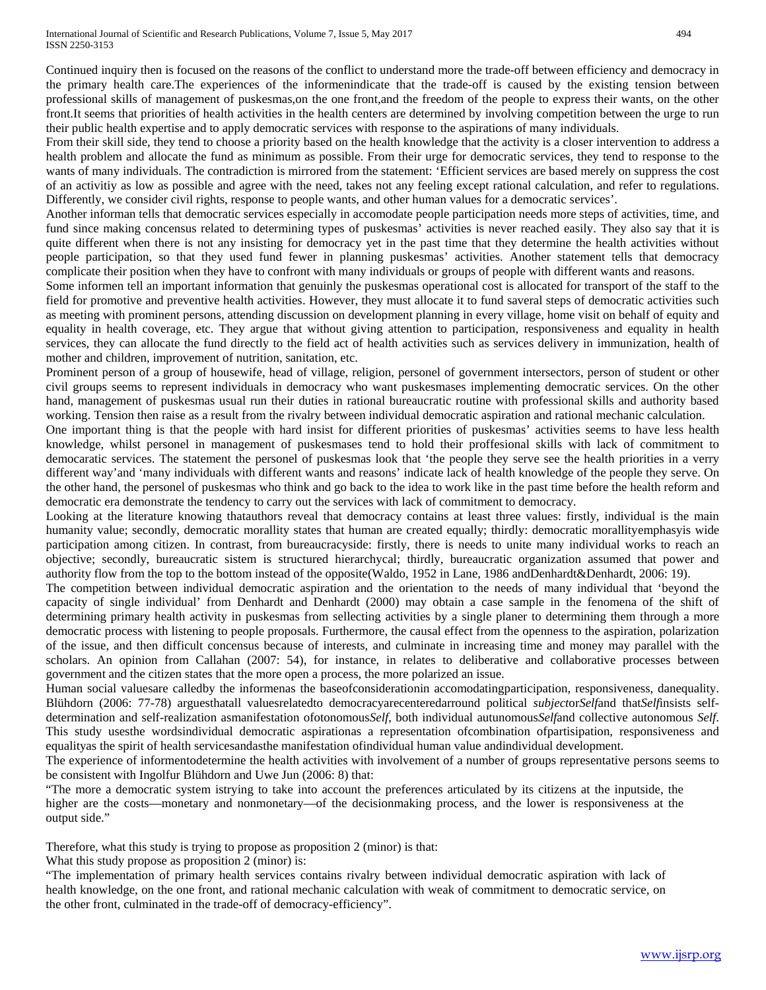#### International Journal of Scientific and Research Publications, Volume 7, Issue 5, May 2017 494 ISSN 2250-3153

Continued inquiry then is focused on the reasons of the conflict to understand more the trade-off between efficiency and democracy in the primary health care.The experiences of the informenindicate that the trade-off is caused by the existing tension between professional skills of management of puskesmas,on the one front,and the freedom of the people to express their wants, on the other front.It seems that priorities of health activities in the health centers are determined by involving competition between the urge to run their public health expertise and to apply democratic services with response to the aspirations of many individuals.

From their skill side, they tend to choose a priority based on the health knowledge that the activity is a closer intervention to address a health problem and allocate the fund as minimum as possible. From their urge for democratic services, they tend to response to the wants of many individuals. The contradiction is mirrored from the statement: 'Efficient services are based merely on suppress the cost of an activitiy as low as possible and agree with the need, takes not any feeling except rational calculation, and refer to regulations. Differently, we consider civil rights, response to people wants, and other human values for a democratic services'.

Another informan tells that democratic services especially in accomodate people participation needs more steps of activities, time, and fund since making concensus related to determining types of puskesmas' activities is never reached easily. They also say that it is quite different when there is not any insisting for democracy yet in the past time that they determine the health activities without people participation, so that they used fund fewer in planning puskesmas' activities. Another statement tells that democracy complicate their position when they have to confront with many individuals or groups of people with different wants and reasons.

Some informen tell an important information that genuinly the puskesmas operational cost is allocated for transport of the staff to the field for promotive and preventive health activities. However, they must allocate it to fund saveral steps of democratic activities such as meeting with prominent persons, attending discussion on development planning in every village, home visit on behalf of equity and equality in health coverage, etc. They argue that without giving attention to participation, responsiveness and equality in health services, they can allocate the fund directly to the field act of health activities such as services delivery in immunization, health of mother and children, improvement of nutrition, sanitation, etc.

Prominent person of a group of housewife, head of village, religion, personel of government intersectors, person of student or other civil groups seems to represent individuals in democracy who want puskesmases implementing democratic services. On the other hand, management of puskesmas usual run their duties in rational bureaucratic routine with professional skills and authority based working. Tension then raise as a result from the rivalry between individual democratic aspiration and rational mechanic calculation.

One important thing is that the people with hard insist for different priorities of puskesmas' activities seems to have less health knowledge, whilst personel in management of puskesmases tend to hold their proffesional skills with lack of commitment to democaratic services. The statement the personel of puskesmas look that 'the people they serve see the health priorities in a verry different way'and 'many individuals with different wants and reasons' indicate lack of health knowledge of the people they serve. On the other hand, the personel of puskesmas who think and go back to the idea to work like in the past time before the health reform and democratic era demonstrate the tendency to carry out the services with lack of commitment to democracy.

Looking at the literature knowing thatauthors reveal that democracy contains at least three values: firstly, individual is the main humanity value; secondly, democratic morallity states that human are created equally; thirdly: democratic morallityemphasyis wide participation among citizen. In contrast, from bureaucracyside: firstly, there is needs to unite many individual works to reach an objective; secondly, bureaucratic sistem is structured hierarchycal; thirdly, bureaucratic organization assumed that power and authority flow from the top to the bottom instead of the opposite(Waldo, 1952 in Lane, 1986 andDenhardt&Denhardt, 2006: 19).

The competition between individual democratic aspiration and the orientation to the needs of many individual that 'beyond the capacity of single individual' from Denhardt and Denhardt (2000) may obtain a case sample in the fenomena of the shift of determining primary health activity in puskesmas from sellecting activities by a single planer to determining them through a more democratic process with listening to people proposals. Furthermore, the causal effect from the openness to the aspiration, polarization of the issue, and then difficult concensus because of interests, and culminate in increasing time and money may parallel with the scholars. An opinion from Callahan (2007: 54), for instance, in relates to deliberative and collaborative processes between government and the citizen states that the more open a process, the more polarized an issue.

Human social valuesare calledby the informenas the baseofconsiderationin accomodatingparticipation, responsiveness, danequality. Blühdorn (2006: 77-78) arguesthatall valuesrelatedto democracyarecenteredarround political *subject*or*Self*and that*Self*insists selfdetermination and self-realization asmanifestation ofotonomous*Self*, both individual autunomous*Self*and collective autonomous *Self*. This study usesthe wordsindividual democratic aspirationas a representation ofcombination ofpartisipation, responsiveness and equalityas the spirit of health servicesandasthe manifestation ofindividual human value andindividual development.

The experience of informentodetermine the health activities with involvement of a number of groups representative persons seems to be consistent with Ingolfur Blühdorn and Uwe Jun (2006: 8) that:

"The more a democratic system istrying to take into account the preferences articulated by its citizens at the inputside, the higher are the costs—monetary and nonmonetary—of the decisionmaking process, and the lower is responsiveness at the output side."

Therefore, what this study is trying to propose as proposition 2 (minor) is that:

What this study propose as proposition 2 (minor) is:

"The implementation of primary health services contains rivalry between individual democratic aspiration with lack of health knowledge, on the one front, and rational mechanic calculation with weak of commitment to democratic service, on the other front, culminated in the trade-off of democracy-efficiency".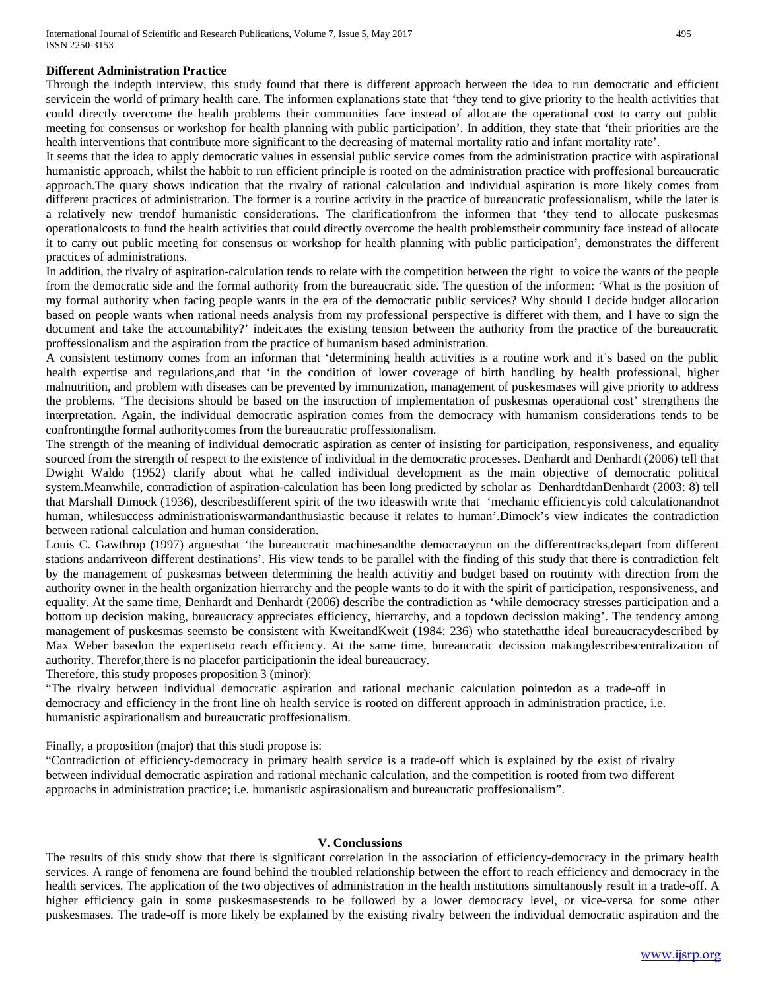### **Different Administration Practice**

Through the indepth interview, this study found that there is different approach between the idea to run democratic and efficient servicein the world of primary health care. The informen explanations state that 'they tend to give priority to the health activities that could directly overcome the health problems their communities face instead of allocate the operational cost to carry out public meeting for consensus or workshop for health planning with public participation'. In addition, they state that 'their priorities are the health interventions that contribute more significant to the decreasing of maternal mortality ratio and infant mortality rate'.

It seems that the idea to apply democratic values in essensial public service comes from the administration practice with aspirational humanistic approach, whilst the habbit to run efficient principle is rooted on the administration practice with proffesional bureaucratic approach.The quary shows indication that the rivalry of rational calculation and individual aspiration is more likely comes from different practices of administration. The former is a routine activity in the practice of bureaucratic professionalism, while the later is a relatively new trendof humanistic considerations. The clarificationfrom the informen that 'they tend to allocate puskesmas operationalcosts to fund the health activities that could directly overcome the health problemstheir community face instead of allocate it to carry out public meeting for consensus or workshop for health planning with public participation', demonstrates the different practices of administrations.

In addition, the rivalry of aspiration-calculation tends to relate with the competition between the right to voice the wants of the people from the democratic side and the formal authority from the bureaucratic side. The question of the informen: 'What is the position of my formal authority when facing people wants in the era of the democratic public services? Why should I decide budget allocation based on people wants when rational needs analysis from my professional perspective is differet with them, and I have to sign the document and take the accountability?' indeicates the existing tension between the authority from the practice of the bureaucratic proffessionalism and the aspiration from the practice of humanism based administration.

A consistent testimony comes from an informan that 'determining health activities is a routine work and it's based on the public health expertise and regulations,and that 'in the condition of lower coverage of birth handling by health professional, higher malnutrition, and problem with diseases can be prevented by immunization, management of puskesmases will give priority to address the problems. 'The decisions should be based on the instruction of implementation of puskesmas operational cost' strengthens the interpretation. Again, the individual democratic aspiration comes from the democracy with humanism considerations tends to be confrontingthe formal authoritycomes from the bureaucratic proffessionalism.

The strength of the meaning of individual democratic aspiration as center of insisting for participation, responsiveness, and equality sourced from the strength of respect to the existence of individual in the democratic processes. Denhardt and Denhardt (2006) tell that Dwight Waldo (1952) clarify about what he called individual development as the main objective of democratic political system.Meanwhile, contradiction of aspiration-calculation has been long predicted by scholar as DenhardtdanDenhardt (2003: 8) tell that Marshall Dimock (1936), describesdifferent spirit of the two ideaswith write that 'mechanic efficiencyis cold calculationandnot human, whilesuccess administrationiswarmandanthusiastic because it relates to human'.Dimock's view indicates the contradiction between rational calculation and human consideration.

Louis C. Gawthrop (1997) arguesthat 'the bureaucratic machinesandthe democracyrun on the differenttracks,depart from different stations andarriveon different destinations'. His view tends to be parallel with the finding of this study that there is contradiction felt by the management of puskesmas between determining the health activitiy and budget based on routinity with direction from the authority owner in the health organization hierrarchy and the people wants to do it with the spirit of participation, responsiveness, and equality. At the same time, Denhardt and Denhardt (2006) describe the contradiction as 'while democracy stresses participation and a bottom up decision making, bureaucracy appreciates efficiency, hierrarchy, and a topdown decission making'. The tendency among management of puskesmas seemsto be consistent with KweitandKweit (1984: 236) who statethatthe ideal bureaucracydescribed by Max Weber basedon the expertiseto reach efficiency. At the same time, bureaucratic decission makingdescribescentralization of authority. Therefor,there is no placefor participationin the ideal bureaucracy.

Therefore, this study proposes proposition 3 (minor):

"The rivalry between individual democratic aspiration and rational mechanic calculation pointedon as a trade-off in democracy and efficiency in the front line oh health service is rooted on different approach in administration practice, i.e. humanistic aspirationalism and bureaucratic proffesionalism.

Finally, a proposition (major) that this studi propose is:

"Contradiction of efficiency-democracy in primary health service is a trade-off which is explained by the exist of rivalry between individual democratic aspiration and rational mechanic calculation, and the competition is rooted from two different approachs in administration practice; i.e. humanistic aspirasionalism and bureaucratic proffesionalism".

### **V. Conclussions**

The results of this study show that there is significant correlation in the association of efficiency-democracy in the primary health services. A range of fenomena are found behind the troubled relationship between the effort to reach efficiency and democracy in the health services. The application of the two objectives of administration in the health institutions simultanously result in a trade-off. A higher efficiency gain in some puskesmasestends to be followed by a lower democracy level, or vice-versa for some other puskesmases. The trade-off is more likely be explained by the existing rivalry between the individual democratic aspiration and the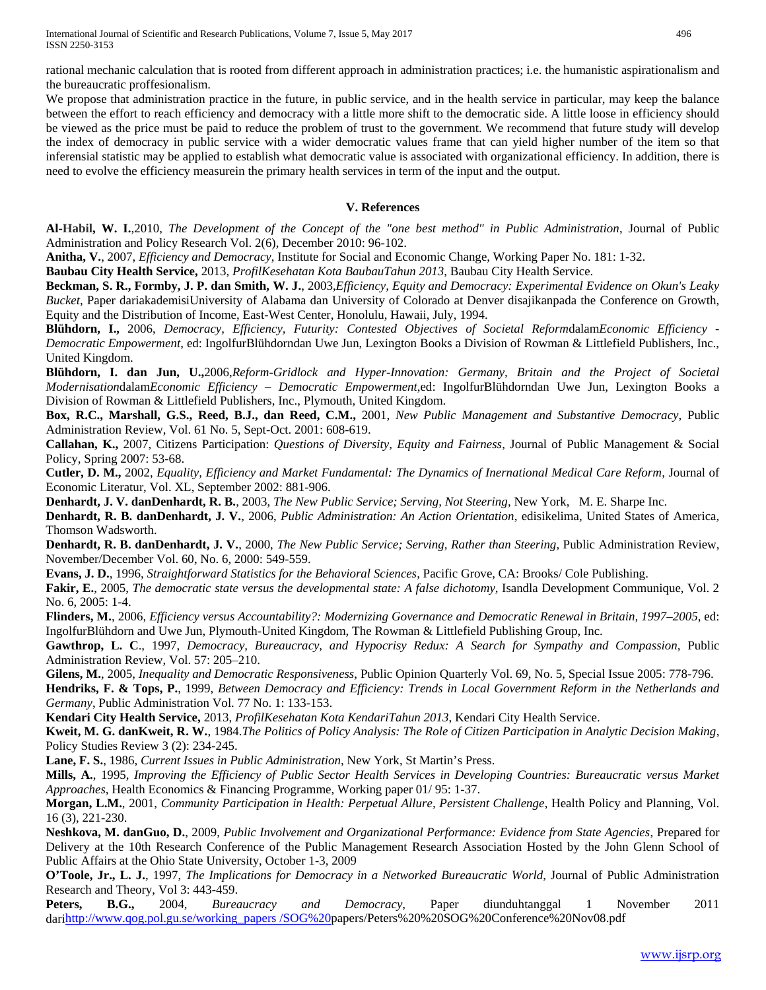We propose that administration practice in the future, in public service, and in the health service in particular, may keep the balance between the effort to reach efficiency and democracy with a little more shift to the democratic side. A little loose in efficiency should be viewed as the price must be paid to reduce the problem of trust to the government. We recommend that future study will develop the index of democracy in public service with a wider democratic values frame that can yield higher number of the item so that inferensial statistic may be applied to establish what democratic value is associated with organizational efficiency. In addition, there is need to evolve the efficiency measurein the primary health services in term of the input and the output.

## **V. References**

**Al-Habil, W. I.**,2010, *The Development of the Concept of the "one best method" in Public Administration*, Journal of Public Administration and Policy Research Vol. 2(6), December 2010: 96-102.

**Anitha, V.**, 2007, *Efficiency and Democracy*, Institute for Social and Economic Change, Working Paper No. 181: 1-32.

**Baubau City Health Service,** 2013, *ProfilKesehatan Kota BaubauTahun 2013*, Baubau City Health Service.

**Beckman, S. R., Formby, J. P. dan Smith, W. J.**, 2003,*Efficiency, Equity and Democracy: Experimental Evidence on Okun's Leaky Bucket*, Paper dariakademisiUniversity of Alabama dan University of Colorado at Denver disajikanpada the Conference on Growth, Equity and the Distribution of Income, East-West Center, Honolulu, Hawaii, July, 1994.

**Blühdorn, I.,** 2006, *Democracy, Efficiency, Futurity: Contested Objectives of Societal Reform*dalam*Economic Efficiency - Democratic Empowerment*, ed: IngolfurBlühdorndan Uwe Jun, Lexington Books a Division of Rowman & Littlefield Publishers, Inc., United Kingdom.

**Blühdorn, I. dan Jun, U.,**2006,*Reform-Gridlock and Hyper-Innovation: Germany, Britain and the Project of Societal Modernisation*dalam*Economic Efficiency – Democratic Empowerment*,ed: IngolfurBlühdorndan Uwe Jun, Lexington Books a Division of Rowman & Littlefield Publishers, Inc., Plymouth, United Kingdom.

**Box, R.C., Marshall, G.S., Reed, B.J., dan Reed, C.M.,** 2001, *New Public Management and Substantive Democracy*, Public Administration Review, Vol. 61 No. 5, Sept-Oct. 2001: 608-619.

**Callahan, K.,** 2007, Citizens Participation: *Questions of Diversity, Equity and Fairness*, Journal of Public Management & Social Policy, Spring 2007: 53-68.

**Cutler, D. M.,** 2002, *Equality, Efficiency and Market Fundamental: The Dynamics of Inernational Medical Care Reform*, Journal of Economic Literatur, Vol. XL, September 2002: 881-906.

**Denhardt, J. V. danDenhardt, R. B.**, 2003, *The New Public Service; Serving, Not Steering*, New York, M. E. Sharpe Inc.

**Denhardt, R. B. danDenhardt, J. V.**, 2006, *Public Administration: An Action Orientation*, edisikelima, United States of America, Thomson Wadsworth.

**Denhardt, R. B. danDenhardt, J. V.**, 2000, *The New Public Service; Serving, Rather than Steering*, Public Administration Review, November/December Vol. 60, No. 6, 2000: 549-559.

**Evans, J. D.**, 1996, *Straightforward Statistics for the Behavioral Sciences*, Pacific Grove, CA: Brooks/ Cole Publishing.

**Fakir, E.**, 2005, *The democratic state versus the developmental state: A false dichotomy*, Isandla Development Communique, Vol. 2 No. 6, 2005: 1-4.

**Flinders, M.**, 2006, *Efficiency versus Accountability?: Modernizing Governance and Democratic Renewal in Britain, 1997–2005*, ed: IngolfurBlühdorn and Uwe Jun, Plymouth-United Kingdom, The Rowman & Littlefield Publishing Group, Inc.

**Gawthrop, L. C**., 1997, *Democracy, Bureaucracy, and Hypocrisy Redux: A Search for Sympathy and Compassion*, Public Administration Review, Vol. 57: 205–210.

**Gilens, M.**, 2005, *Inequality and Democratic Responsiveness*, Public Opinion Quarterly Vol. 69, No. 5, Special Issue 2005: 778-796.

**Hendriks, F. & Tops, P.**, 1999, *Between Democracy and Efficiency: Trends in Local Government Reform in the Netherlands and Germany*, Public Administration Vol. 77 No. 1: 133-153.

**Kendari City Health Service,** 2013, *ProfilKesehatan Kota KendariTahun 2013*, Kendari City Health Service.

**Kweit, M. G. danKweit, R. W.**, 1984.*The Politics of Policy Analysis: The Role of Citizen Participation in Analytic Decision Making*, Policy Studies Review 3 (2): 234-245.

**Lane, F. S.**, 1986, *Current Issues in Public Administration*, New York, St Martin's Press.

**Mills, A.**, 1995, *Improving the Efficiency of Public Sector Health Services in Developing Countries: Bureaucratic versus Market Approaches*, Health Economics & Financing Programme, Working paper 01/ 95: 1-37.

**Morgan, L.M.**, 2001, *Community Participation in Health: Perpetual Allure, Persistent Challenge*, Health Policy and Planning, Vol. 16 (3), 221-230.

**Neshkova, M. danGuo, D.**, 2009, *Public Involvement and Organizational Performance: Evidence from State Agencies*, Prepared for Delivery at the 10th Research Conference of the Public Management Research Association Hosted by the John Glenn School of Public Affairs at the Ohio State University, October 1-3, 2009

**O'Toole, Jr., L. J.**, 1997, *The Implications for Democracy in a Networked Bureaucratic World*, Journal of Public Administration Research and Theory, Vol 3: 443-459.

**Peters, B.G.,** 2004, *Bureaucracy and Democracy*, Paper diunduhtanggal 1 November 2011 dar[ihttp://www.qog.pol.gu.se/working\\_papers /SOG%20p](http://www.qog.pol.gu.se/working_papers%20/SOG)apers/Peters%20%20SOG%20Conference%20Nov08.pdf